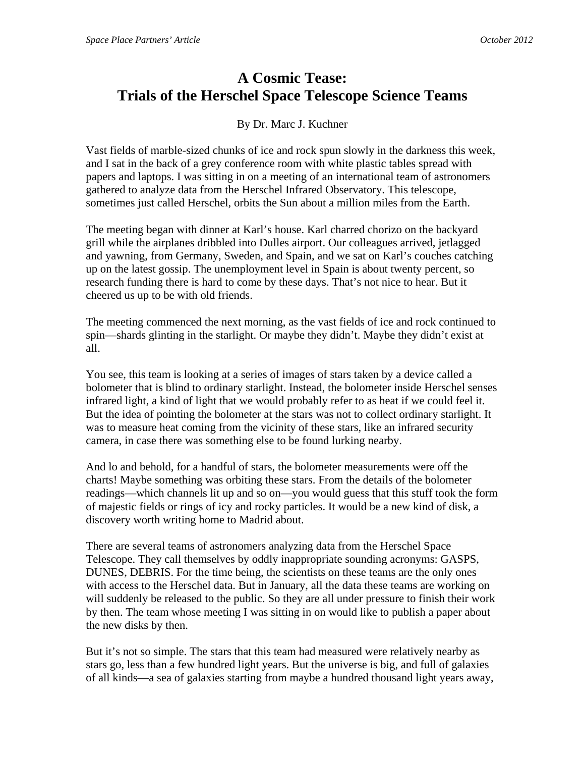## **A Cosmic Tease: Trials of the Herschel Space Telescope Science Teams**

By Dr. Marc J. Kuchner

Vast fields of marble-sized chunks of ice and rock spun slowly in the darkness this week, and I sat in the back of a grey conference room with white plastic tables spread with papers and laptops. I was sitting in on a meeting of an international team of astronomers gathered to analyze data from the Herschel Infrared Observatory. This telescope, sometimes just called Herschel, orbits the Sun about a million miles from the Earth.

The meeting began with dinner at Karl's house. Karl charred chorizo on the backyard grill while the airplanes dribbled into Dulles airport. Our colleagues arrived, jetlagged and yawning, from Germany, Sweden, and Spain, and we sat on Karl's couches catching up on the latest gossip. The unemployment level in Spain is about twenty percent, so research funding there is hard to come by these days. That's not nice to hear. But it cheered us up to be with old friends.

The meeting commenced the next morning, as the vast fields of ice and rock continued to spin—shards glinting in the starlight. Or maybe they didn't. Maybe they didn't exist at all.

You see, this team is looking at a series of images of stars taken by a device called a bolometer that is blind to ordinary starlight. Instead, the bolometer inside Herschel senses infrared light, a kind of light that we would probably refer to as heat if we could feel it. But the idea of pointing the bolometer at the stars was not to collect ordinary starlight. It was to measure heat coming from the vicinity of these stars, like an infrared security camera, in case there was something else to be found lurking nearby.

And lo and behold, for a handful of stars, the bolometer measurements were off the charts! Maybe something was orbiting these stars. From the details of the bolometer readings—which channels lit up and so on—you would guess that this stuff took the form of majestic fields or rings of icy and rocky particles. It would be a new kind of disk, a discovery worth writing home to Madrid about.

There are several teams of astronomers analyzing data from the Herschel Space Telescope. They call themselves by oddly inappropriate sounding acronyms: GASPS, DUNES, DEBRIS. For the time being, the scientists on these teams are the only ones with access to the Herschel data. But in January, all the data these teams are working on will suddenly be released to the public. So they are all under pressure to finish their work by then. The team whose meeting I was sitting in on would like to publish a paper about the new disks by then.

But it's not so simple. The stars that this team had measured were relatively nearby as stars go, less than a few hundred light years. But the universe is big, and full of galaxies of all kinds—a sea of galaxies starting from maybe a hundred thousand light years away,